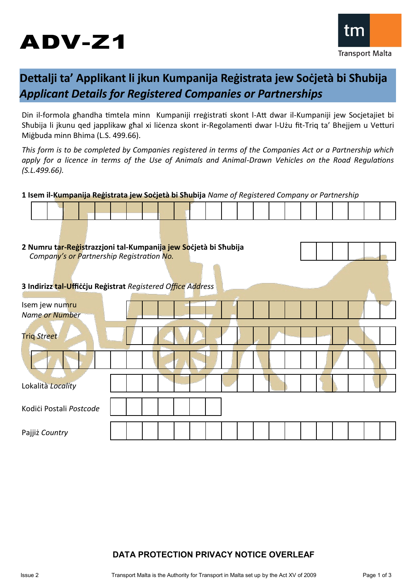# ADV-Z1



# **Dettalji ta' Applikant li jkun Kumpanija Reġistrata jew Soċjetà bi Sħubija** *Applicant Details for Registered Companies or Partnerships*

Din il-formola għandha timtela minn Kumpaniji rreġistrati skont l-Att dwar il-Kumpaniji jew Socjetajiet bi Sħubija li jkunu qed japplikaw għal xi liċenza skont ir-Regolamenti dwar l-Użu fit-Triq ta' Bhejjem u Vetturi Miġbuda minn Bhima (L.S. 499.66).

*This form is to be completed by Companies registered in terms of the Companies Act or a Partnership which apply for a licence in terms of the Use of Animals and Animal-Drawn Vehicles on the Road Regulations (S.L.499.66).*

**1 Isem il-Kumpanija Reġistrata jew Soċjetà bi Sħubija** *Name of Registered Company or Partnership*

| 2 Numru tar-Registrazzjoni tal-Kumpanija jew Socjetà bi Shubija<br>Company's or Partnership Registration No. |  |  |  |  |  |  |  |  |  |  |  |  |  |  |  |  |  |  |  |
|--------------------------------------------------------------------------------------------------------------|--|--|--|--|--|--|--|--|--|--|--|--|--|--|--|--|--|--|--|
|                                                                                                              |  |  |  |  |  |  |  |  |  |  |  |  |  |  |  |  |  |  |  |
| 3 Indirizz tal-Ufficcju Registrat Registered Office Address                                                  |  |  |  |  |  |  |  |  |  |  |  |  |  |  |  |  |  |  |  |
| Isem jew numru<br>Name or Number                                                                             |  |  |  |  |  |  |  |  |  |  |  |  |  |  |  |  |  |  |  |
| <b>Triq Street</b>                                                                                           |  |  |  |  |  |  |  |  |  |  |  |  |  |  |  |  |  |  |  |
|                                                                                                              |  |  |  |  |  |  |  |  |  |  |  |  |  |  |  |  |  |  |  |
| Lokalità Locality                                                                                            |  |  |  |  |  |  |  |  |  |  |  |  |  |  |  |  |  |  |  |
| Kodići Postali Postcode                                                                                      |  |  |  |  |  |  |  |  |  |  |  |  |  |  |  |  |  |  |  |
| Pajjiż Country                                                                                               |  |  |  |  |  |  |  |  |  |  |  |  |  |  |  |  |  |  |  |

## **DATA PROTECTION PRIVACY NOTICE OVERLEAF**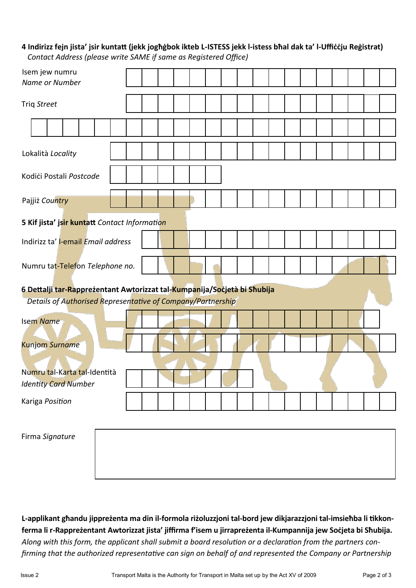### **4 Indirizz fejn jista' jsir kuntatt (jekk jogħġbok ikteb L-ISTESS jekk l-istess bħal dak ta' l-Uffiċċju Reġistrat)**  *Contact Address (please write SAME if same as Registered Office)*

| Isem jew numru<br>Name or Number                                                                                                        |  |  |  |  |  |  |  |  |
|-----------------------------------------------------------------------------------------------------------------------------------------|--|--|--|--|--|--|--|--|
| Triq Street                                                                                                                             |  |  |  |  |  |  |  |  |
|                                                                                                                                         |  |  |  |  |  |  |  |  |
| Lokalità Locality                                                                                                                       |  |  |  |  |  |  |  |  |
| Kodići Postali Postcode                                                                                                                 |  |  |  |  |  |  |  |  |
| Pajjiż Country                                                                                                                          |  |  |  |  |  |  |  |  |
| 5 Kif jista' jsir kuntatt Contact Information                                                                                           |  |  |  |  |  |  |  |  |
| Indirizz ta' l-email Email address                                                                                                      |  |  |  |  |  |  |  |  |
| Numru tat-Telefon Telephone no.                                                                                                         |  |  |  |  |  |  |  |  |
|                                                                                                                                         |  |  |  |  |  |  |  |  |
| 6 Dettalji tar-Rapprezentant Awtorizzat tal-Kumpanija/Socjetà bi Shubija<br>Details of Authorised Representative of Company/Partnership |  |  |  |  |  |  |  |  |
| <b>Isem Name</b>                                                                                                                        |  |  |  |  |  |  |  |  |
| <b>Kunjom Surname</b>                                                                                                                   |  |  |  |  |  |  |  |  |
| Numru tal-Karta tal-Identità<br><b>Identity Card Number</b>                                                                             |  |  |  |  |  |  |  |  |
| Kariga Position                                                                                                                         |  |  |  |  |  |  |  |  |
| Firma Signature                                                                                                                         |  |  |  |  |  |  |  |  |

**L-applikant għandu jippreżenta ma din il-formola riżoluzzjoni tal-bord jew dikjarazzjoni tal-imsieħba li tikkonferma li r-Rappreżentant Awtorizzat jista' jiffirma f'isem u jirrapreżenta il-Kumpannija jew Soċjeta bi Sħubija.** *Along with this form, the applicant shall submit a board resolution or a declaration from the partners confirming that the authorized representative can sign on behalf of and represented the Company or Partnership*